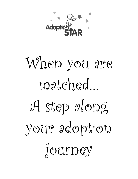

# When you are matched… A step along your adoption journey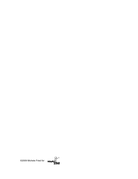

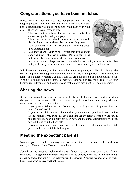## **Congratulations you have been matched**

Please note that we did not say, congratulations you are adopting a baby. You will find that we will try to do our best not to congratulate you on adopting until your baby is in your arms. There are several reasons why:

- 1. The expectant parents are the baby's parents until they choose to sign their adoption papers.
- 2. The expectant parents should be treated as such not only for the legal reason above, but because they have the right emotionally as well to change their mind about their adoption plan.
- 3. You may change your mind. While that might sound shocking now  $\sim$  this has occurred. Perhaps something unforeseen happens in your life or the expectant parents



receive a medical diagnosis not previously known that you are uncomfortable with, or the baby is born with special needs that you feel you could not handle.

It is important that you, as the prospective adoptive parent(s) realize that though the match is a part of the adoption journey, it is not the end of the journey. It is a time to be happy, it is a time to celebrate as it is a step toward adopting, but it is not a definite plan. While you should remain positive, somewhere you need to reserve a little bit of your heart to remind yourself and to understand that a match may not turn into a placement.

# **Sharing the news**

It is a very personal decision whether or not to share with family, friends and co-workers that you have been matched. There are several things to consider when deciding who you may choose to share the news with:

- 1. If you plan on taking time off from work, when do you need to prepare those at your place of work?
- 2. If you require child care for other children you are parenting, when do you need to arrange things if you suddenly get a call that the expectant parent(s) want you in the delivery room or the baby has been born and the expectant parent(s) wish you to visit the baby in the hospital?
- 3. If you tell your family and friends will they be supportive of you during the match period and if the match falls through?

## **Meeting the expectant parents**

Now that you are matched you may have just learned that the expectant mother wishes to meet you. How exciting. How nerve wracking.

Sometimes the meeting includes the birth father and sometimes other birth family members. The agency will prepare you for what to expect, to the best of our ability, but please be aware that we KNOW that you will be nervous. You will wonder what to wear, how to act, what to say, what not to say.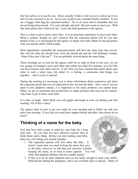Our best advice is to just be you. Dress casually if that is who you are or dress up if you feel it is the occasion to do so. Act as you would to any extended family member. If you are a hugger, then hug the expectant mother! Try to sit close and to remember that you are not being interviewed. You were already selected! She just wants to meet you. With that said, please don't interview her. Leave the hard questions to the agency.

This is a time to get to know each other. It is an awesome experience to meet each other. Bring a camera, though we can't promise that the expectant parent will let you take photos of her, it is encouraged by the agency to begin your baby album by having photos with you and the child's birth mother.

Most importantly, remember the expectant parent will have the same fears that you do. She will ask what she should wear, what she should ask and she will definitely wonder, "what if they don't like me?" You are probably worried about the same thing.

These meetings are so neat for the agency staff too as right in front of our eyes, we see two groups of strangers meet each other and within less than five minutes, you feel like you have known each other forever. It isn't that you have learned that much about each other in such a short time, but rather it's a feeling, a connection that brings you together… and it is just so special.

During the meeting we encourage you to share information about yourselves and show the expectant parent that you are interested in her, not just the baby. Also, even if you are open to post adoption contact, it is important to not make promises you cannot keep. Often, we get so emotional and excited that we make promises that may not be realistic. Take time to get to know each other.

It is okay to laugh. Most likely you will giggle and laugh or even cry during your first meeting. All of this is okay!

The agency does its best to get you ready for your meeting and to follow up with you after your meeting. If you feel you need more support before and after, then please let us know!

## **Thinking of a name for the baby**

You may have had a name in mind for your baby for a long time now. Or you may not have allowed yourself time to think about such a thing. Before you start naming your baby, there are a few things you should consider:

- 1. The expectant parents will first name the baby. It doesn't mean that you need to keep the name they give to the baby, however we ask that you sincerely consider keeping the name, or at least in some capacity. You will often find adopted children with two middle names!
- 2. If this is to be an open adoption and you are lucky enough to meet your child's birth parents during the pregnancy, this is an excellent topic to discuss. Many of

 $\bullet$ 100 . . .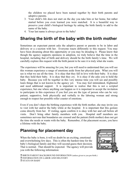the children we placed have been named together by their birth parents and adoptive parents.

- 3. Your child's life does not start on the day you take him or her home, but rather started before you even learned you were matched. It is a beautiful way to preserve your child's biological heritage by asking the birth family to add to the name of the baby.
- 4. Your last name is always given to the baby!

# **Sharing the birth of the baby with the birth mother**

Sometimes an expectant parent asks the adoptive parent or parents to be in labor and delivery or a c-section with her. Everyone reacts differently to this request. You may have been dreaming about this opportunity or you may be dreading it. Please know that though the agency supports openness in adoption, we truly believe that the time in the hospital, including that of birth and delivery should be the birth family's time. We will carefully explore this request with the birth parent to be sure it is truly what she wants.

The experience will be amazing for you, but you will need to understand that you will see this woman experience a range of emotions aside from her physical pain. What you will see is what we see all the time. It is okay that they fall in love with their baby. It is okay that they hold their baby. It is okay that they cry. It is okay if she asks you to hold the baby. Because you will be together in this very intense time you will see and possibly learn things that is not known to the agency yet. You may feel intimidated, frightened and need additional support. It is important to realize that this is not a scripted experience, but one where anything can happen so it is important to accept the invitation to participate in this experience if you feel you are the type of person who can be very patient, supportive, both physically and verbally to the laboring woman and strong enough to respect her possible roller coaster of emotions.

Even if you don't share the birthing experience with the birth mother, she may invite you to visit with her and/or the baby while at the hospital. It is important that this gesture come directly from her. If visiting, again confirm it is okay with her and call before all visits. Don't bring other family members with you. Hospital staff members are sometimes nervous that boundaries are crossed and the patient (birth mother) does not get the time she needs or wants with the baby. Remember, if the placement occurs, you have a lifetime with the baby.

# **Planning for placement day**

When the baby is born, it will no doubt be an exciting, emotional and overwhelming few days. This is often the hardest time for the baby's biological family and they will second-guess their decision. That is normal. That should be expected. The agency will provide you with the following information:



**I BIRTH PARENT BACKGROUND INFORMATION** (unless given to you pre-birth.) **INFORMATION ON LABOR AND DELIVERY I** STATS ON BABY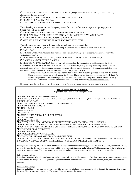! OPEN ADOPTION DESIRES OF BIRTH FAMILY (though you were provided this upon match, this may change after the baby is born.)

**I PLANS FOR BIRTH PARENT TO SIGN ADOPTION PAPERS** 

**I PLANS FOR PLACEMENT DAY** 

**IDISCUSSION OF FEES DUE AT TIME OF PLACEMENT** 

The following is information that the agency needs from you before you sign your adoption papers and before you pick up the baby:

! NAME, ADDRESS AND PHONE NUMBER OF PEDIATRICIAN

! FULL NAME AND SPELLING OF THE NAME YOU WISH TO GIVE YOUR BABY

**I ADOPTION ATTORNEY YOU WISH TO WORK WITH** 

! WHO WILL BE ATTENDING PLACEMENT DAY WITH YOU

The following are things you will need to bring with you on placement day:

 $\Box$  INFANT CAR SEAT (out of the box, and set up in your car. You will need to know how to use it!)  $\Box$  BABY BAG

! INFANT OUTERWEAR (based on weather – hat, blankets, bunting, etc. The agency will provide you with a "going home" outfit.)

! PLACEMENT FEES INCLUDING POST PLACEMENT FEES - CERTIFIED CHECK **I CAMERA AND/OR VIDEO CAMERA** 

! FRIENDS AND/OR FAMILY (only if you wish and based on the circumstances and logistics of the day.)  $\Box$  POSSIBLY A GIFT FOR BIRTH PARENT(S), such as flowers, candy, jewelry (with baby's birth stone, for example), photo album or frame, framed poem, an engraved gift, gift basket (bath and body spa products, etc.) or books (An adoption book or books, such as the following book, is a special gift to give.)

*A Birthparent's Book of Memories* by Brenda Romanchik - This beautiful package comes with fill-in-theblank scrapbook pages for a birth parent to fill out. There are sections for explaining the birth family's history, the pregnancy, the adoption process, the birth, and more. The birth parent can one day return the gift to the child. This book and other adoption related books may be found at www.tapestrybooks.com

If you are traveling a distance to pick up your baby, below is an additional list that may help you prepare.

#### **Out of State Adoption Packing List:**

Prepared by Teri Henick, STAR adoptive mom

**D DIAPER BAG WITH DIAPERING SUPPLIES** ! BLANKETS: 1 REGULAR COTTON, 3 RECEIVING, 2 SWADDLE, 1 SMALL QUILT TO USE IN HOTEL ROOM AS A CHANGING PAD BASE  $\Box$  WINTER COAT & HAT (AS SEASONALLY APPROPRIATE) **INEWBORN HATS: ABOUT 5** ! MITTS: 3 PAIRS  $\Box$  ONESIES: 8-10  $\Box$  GOWNS: 5-7  $\Box$  SOCKS: 8 PAIRS PLUS ONE PAIR OF BOOTIES  $\Box$  PJ'S: ONE PAIR **D** BURP CLOTHS: 7-10 ! OUTFITS: JUST A FEW ~ GOWNS ARE DEFINITELY THE MOST PRACTICAL FOR A NEWBORN. ! MICROWAVE BOTTLE STERILIZER OR DISHWASHER BASKET FOR PACIFIERS AND NIPPLES. ! BOUNCY SEAT: ASSEMBLED THERE. USED OFTEN IN HOTEL- ESPECIALLY HELPFUL FOR BABY TO SLEEP IN.  $\Box$  INFANT CAR SEAT WITH COVER **DIAPERS & WIPES DISPOSABLE INFANT WASHCLOTHS INFANT STAIN REMOVING PRODUCT AND DETERGENT** ! IF TRAVELING WITH ANOTHER CHILD OR CHILDREN, PACK LITTLE "SURPRISES" TO OPEN ALONG THE WAY, INCLUDING A SPECIAL ONE FOR THE HOSPITAL. (A DOLL AND CAR SEAT LIKE MOMMY'S).

When you are traveling out-of-state for an adoption it is impossible to know how long you will be there. If you can, DEFINITELY stay close to the hospital the baby was born at in a SUITE (with a separate bedroom and a kitchen). Call the concierge at the hotel and tell them why you are coming. They have amazing connections and often have a soft spot when they hear you are adopting.

I also brought with us:

Directions! Go to the Chamber of Commerce website for the city you will be staying in. They have some great recommendations. Also, if you won't be traveling with a GPS (which I highly recommend) print out directions to and from hospital, hotel, and restaurants in advance.

What we didn't bring:

Formula- didn't know what kind she would be on. The hospital provided more than enough to get us through the week and then some. Pack and Play- it was too cumbersome. We just used her car seat and the bouncy chair.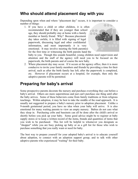## **Who should attend placement day with you**

Depending upon when and where "placement day" occurs, it is important to consider a number of things:

1. If you have a child or other children, it is often recommended that if they are younger than school age, they should probably stay at home with a family member or family friend. Why? Because placement day takes awhile, it is filled with signing of legal paperwork, discussing legal and other confidential information, and most importantly it is very emotional. It may involve meeting the birth parent(s) for the first time or witnessing the birth parents hand the



baby to you. Though this sounds beautiful, young children need supervision and attention and the staff of the agency will need you to be focused on the paperwork, the birth parents and of course the new baby.

2. Where placement day may occur. If it occurs at the agency office, then it is more conducive to invite your family members and friends by providing a time for their arrival, such as after the birth family has left, after the paperwork is completed, etc. However if placement occurs at a hospital, for example, then only the adoptive parents will be permitted.

# **Preparing for baby's arrival**

Some prospective parents decorate the nursery and purchase everything they can before a baby's arrival. Others are more superstitious and just can't purchase one thing until after the baby arrives. Some of these behaviors come from family traditions or from religious teachings. Within adoption, it may be best to take the middle of the road approach. It is usually not suggested to prepare a baby's nursery prior to adoption placement. Unlike a 9-month gestational period, you have no idea when your baby will arrive. It is also emotional for many waiting parents to view an empty nursery. Babies do not care what they sleep in. Purchasing cribs and bassinets can all be done after the child's arrival or shortly before you pick up your baby. Some good advice might be to register at baby supply stores or to keep a written record of the items, brands and quantities of items that you wish to be purchased. This list will be helpful to whomever you designate as "shopper" while you are busy picking up baby or as a gift list for those who wish to purchase something that you really want or need for baby.

The best way to prepare yourself for your adopted baby's arrival is to educate yourself about adoption, to connect with an adoption support group, and to talk with other adoptive parents who experienced "waiting" for their baby.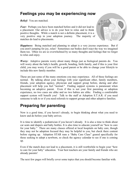# **Feelings you may be experiencing now**

*Relief:* You are matched.

*Fear:* Perhaps you have been matched before and it did not lead to a placement. Our advice is to do your best to relax and to think positive thoughts. While a match is not a definite placement, it is a very positive step in your adoption journey. The majority of matches do lead to placements.



*Happiness:* Being matched and planning to adopt is a very joyous experience. But if you aren't jumping for joy, relax! Sometimes our bodies don't react the way we imagined them too. Often we are so overwhelmed by so many thoughts and feelings that we forget to relax and enjoy.

*Worry:* Adoptive parents worry about many things just as biological parents do. You will worry about the baby's health, growth, bonding, birth family, and if this is your first child, you may worry if you will be a good parent or be able to change your lifestyle to include this new family member.

These are just some of the many emotions you may experience. All of these feelings are normal. By talking about your feelings with your significant other, family members, friends, your adoption agency, physician and support group before, during and after placement will help you feel "normal." Finding support systems is paramount when becoming an adoptive parent. Even if this is not your first parenting or adoption experience, no two cases are alike and no two babies are alike. Finding a comfortable support system will benefit you! Talk to the staff at Adoption S.T.A.R. if you need someone to talk to or if you need referrals to support groups and other adoptive families.

# **Preparing for parenting**

Now is a good time, if you haven't already, to begin thinking about what you need to know and do before your baby arrives.

It is time to identify a pediatrician if you haven't already. It is also a time to think about car seats and diapers and baby bottles. It is also time to educate yourself on "how to care for your baby." There are many classes offered at local hospitals on baby care, though they may not be adoption focused they may be helpful to you, but check there content before signing up. Adoption STAR runs a "Baby Care Class" geared specifically for those seeking to adopt a newborn, so check the agency calendar to see if one is coming up.

Even if the match does not lead to a placement, it is still worthwhile to begin your "how to care for your baby" education. Your best teachers are your family and friends who are already parents!

The next few pages will briefly cover some topics that you should become familiar with.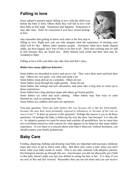# **Falling in love**

Some adoptive parents report falling in love with the child even before the baby is born. Others think they will fall in love with their baby at first sight. Sometimes that happens. Sometimes it may take time. Don't be concerned if you have mixed feelings at first.



Just remember that getting to know each other is the first step to

falling in love. Right now you can only imagine what the experience of meeting your child will be like. Babies often surprise people. Newborns often have heads shaped oddly, are bow-legged, have lots of hair or no hair at all. Their skin coloring may be odd at first because they are brand new. Belly buttons look awful and their skin may be wrinkled or flaky.

Falling in love with your baby may take time and that's okay.

#### *Babies have many different behaviors*

Some babies are described as active and move a lot. They wave their arms and kick their legs. Others are very quiet, very calm and sleep a lot.

Some babies sleep and eat on a schedule. Others do not.

Some babies sleep through the night quickly. Some do not.

Some babies like outings and new adventures, and some take a long time to warm up to those experiences.

Some babies have long attention spans and others get bored quickly.

Some babies cry often and need calming. Other babies may find ways to calm themselves, such as sucking their fists.

Some babies are cuddlers and some are squirmers.

You may question, *"Does my baby behave this way because she is like her birth family, because she may have been prenatally exposed to substances or because of the way we react to her?"* Is there an answer to this question? Perhaps the answer is yes to all those questions. Or perhaps the baby is behaving the way she does "just because" it is who she is. As adoptive parents we must be aware and consider all possibilities, but we must also not overwhelm ourselves with concern for what appears to be behavior that many babies experience. If ever there is a concern about your baby's behavior, without hesitation, you should contact your family pediatrician.

# **Baby Care**

Feeding, diapering, bathing and dressing your baby are important and necessary childcare steps and ways to get to know each other. But there may come a time when you don't know what your baby needs or wants. This is not only common with adoptive parents, but biological parents go through this too. Just because you did not physically give birth to this baby doesn't make you any less skilled in caring for him or her. It is okay if you are new at this and feel worried. Remember that you are not alone and you can receive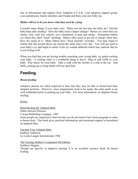lots of information and support from Adoption S.T.A.R., your adoption support group, your pediatrician, family members and friends and from your new baby too.

#### *Babies will try to let you know what they need by crying*

Consider many things if your baby cries. When was the last time the baby ate? Did the baby burp after feeding? Does the baby need a diaper change? Babies cry when they are lonely, sick, cold, hot, colicky, over stimulated, in pain and sleepy. Sometimes babies cry when they don't "need" anything. Babies often need to get rid of energy when they have too much of it. Many babies have "fussy periods" everyday. You may begin to realize that this period shows up around the same time every day. You will get used to your baby's cry and begin to notice if his cry sounds different which may indicate that he is not feeling well.

When you find that you are having trouble consoling your crying baby, try gently rocking your baby. A rocking chair is a wonderful thing to have! Sing or talk softly to your baby. Play music for your baby. Take a walk with the stroller or a ride in the car. And lastly, picking up a crying infant will not spoil him.

# **Feeding**

#### *Breast feeding*

Adoptive parents are often surprised to hear that they may be able to breast-feed their adopted newborn. However, since preparations need to be made, this plan needs to be well established prior to picking up your baby. For more information on adoption breast feeding:

Books:

Breastfeeding the Adopted Baby Debra Stewart Peterson Corona Publishing Company, 1995 Some people are surprised to find out that you do not need to have been pregnant in order to breast-feed. This book gives practical information and emotional support to breastfeed an adopted baby.

Nursing Your Adopted Baby Kathryn Anderson La Leche League International, 1986

The Nursing Mother's Companion 4th Edition,

Kathleen Higgins

Though not specific to adoptive nursing, it is an excellent resource book for breast feeding.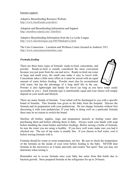#### Internet support:

Adoptive Breastfeeding Resource Website http://www.fourfriends.com/abrw/

Adoption and Breastfeeding Information and Support http://members.tripod.com/~Darillyn/

Adoptive Breastfeeding Information from the La Leche League http://www.lalecheleague.org/NB/NBadoptive.html

The Care Connection  $\sim$  Lactation and Wellness Center (located in Amherst, NY) http://www.careconnectiononline.com/

#### *Formula feeding*

There are three basic types of formula: ready-to-feed, concentrate, and powder. Ready-to-feed is usually considered the most convenient because you just pour from the can and serve. Ready-to-feed can come in large and small sizes, the small cans make it easy to travel with. Concentrate takes a little more effort as it must be mixed with an equal amount of water before feeding. Powder must also be reconstituted with water, but has the advantage of a long shelf life in the can.



Powder is also lightweight and handy for travel (as long as you have water easily accessible to you.). Each formula type is nutritionally equal and your choice will simply depend on your needs and lifestyle.

There are many brands of formula. Your infant will be discharged to you with a specific brand of formula. This formula was given to the baby from the hospital. Discuss the formula and its preparation with your pediatrician. Do not change formulas without first discussing it with your pediatrician. If your baby is doing well on a particular formula there may be no reason to switch the brand.

Sterilize all bottles, nipples, rings and preparation utensils in boiling water after purchasing them and before offering them to baby. Always wash your hands with soap before handling the clean bottles and before feedings. Before mixing a bottle of formula, be sure the water you are using is healthy. If you have well water make sure you had it checked out. The use of tap water is usually fine. If you choose to boil water, cool it before mixing formula with it.

Formula should be warm or room temperature, not hot. Be sure to check the temperature of the formula on the inside of your wrist before feeding to the baby. NEVER heat formula in the microwave as it heats unevenly and creates "hot spots" that you may not determine when testing it.

Remember not to re-use formula once your baby has eaten from that bottle due to bacteria growth. Store prepared formula in the refrigerator for up to 24-hours.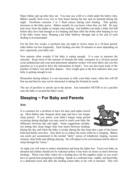Many babies spit up after they eat. You may use a bib or a cloth under the baby's chin. Babies usually feed every two to four hours during the day and on demand during the night. Newborns consume 2 to 3 fluid ounces during each feeding. This quickly increases as the baby grows. Babies usually let you know when they are full. He may turn away from the nipple or simply stop sucking. Gas bubbles can make a baby feel full before they have had enough so try burping and then offer the bottle after burping to see if the baby wants more. Burping your baby halfway through and at the end of each feeding is recommended.

For the first few weeks, a newborn may eat eight to twelve times in a 24-hour period; older babies eat less frequently. Each feeding can take 20 minutes or more depending on how vigorously your baby eats.

New parents often wonder if the baby is eating enough. It is easy to measure the outcome. Keep track of the amount of formula the baby consumes in a 24-hour period (your pediatrician and your post-placement adoption worker will most likely ask you this question so it is good to have the information at hand.) You can also keep track of the number of baby's wet and dirty diapers. Also weight gain is the best indicator that your baby is getting enough to eat.

Remember during infancy it is not necessary to offer your baby water, often this will fill him up and then he may not be interested in taking the formula he needs.

The use of pacifiers is strictly up to the parent. Just remember NEVER to tie a pacifier onto the baby or around the baby's neck.

## **Sleeping ~ For Baby and Parents**

#### *Baby*

It is common for a newborn to have his days and nights mixed up. Most babies take frequent short naps and have one longer sleep period. If you notice your baby's longer sleep period occurring during daylight you may need to teach your baby the difference between day and night. Some suggestions include, not letting him sleep longer than four hours between feedings



during the day and when the baby is awake during the day keep him a part of the house hold and family activities. Also don't try to reduce the noise while he is sleeping. Babies can easily get accustomed to the normal "daily" noises of telephones ringing, vacuum cleaners, door bells and siblings playing. He will adjust to his environment and be able to sleep through the "noise."

At night you will want to reduce stimulation and keep the lights low. Feed your baby on demand and infants should not be wakened unless it has been six hours or more between feedings. When your baby wakes for a feeding have all the supplies ready so you won't have to spend time preparing everything. Speak in a softened tone, cuddle, and feed baby in a darkened room and after the feeding return baby to his crib or bassinet. This will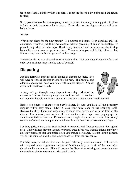teach baby that at night or when it is dark, it is not the time to play, but to feed and return to sleep.

Sleep positions have been an ongoing debate for years. Currently, it is suggested to place infants on their backs or sides to sleep. Please discuss sleeping positions with your baby's doctor.

#### *Parents*

What about sleep for the new parent? It is normal to become sleep deprived and feel exhausted. However, while it goes along as part of parenting, it is also not healthy. If possible, nap when the baby naps. Don't be shy to ask a friend or family member to stop by and help out so you can get some sleep. You may think you will feel tired forever, but it is amazing how our bodies get used to the change.

Remember also to exercise and to eat a healthy diet. Not only should you care for your baby, you must not forget to take care of yourself.

# **Diapering**

Just like formulas, there are many brands of diapers out there. You will need to choose the diaper you like the best. The hospital and adoption agency will send you home with sample diapers. You do not need to use those brands.



A baby will go through many diapers in one day. Most of the diapers will be wet but many may have stools as well. A newborn

can move his bowels ten times a day or just one time a day and that is still normal.

Before you begin to change your baby's diaper, be sure you have all the necessary supplies within easy reach. NEVER leave your baby alone on the changing table. Remove the dirty diaper and wipe away as much stool as you can with the front of the diaper. Use a warm, wet wash cloth to clean the entire diaper area, paying special attention to folds and creases. Do not use store bought wipes on a newborn. It is usually recommended not to use wipes until the infant is more than one or two months of age.

For baby girls, always wipe front to back to prevent stool from getting into the vaginal area. This will help prevent vaginal or urinary tract infections. Female infants may have a bloody discharge that you notice when you change her diaper. Do not let this concern you as it is common and it is due to hormones left from the pregnancy.

For baby boys, special attention must be paid if the baby was circumcised. If the area is still very red, place a generous amount of Petroleum jelly to the tip of the penis after cleaning with warm water. This will prevent the diaper from sticking and protect the new circumcision site from stool and urine until it heals.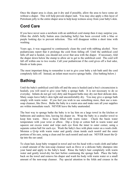Once the diaper area is clean, pat it dry and if possible, allow the area to have some air without a diaper. This will help prevent diaper rash. You may also apply a thin layer of Petroleum jelly to the entire diaper area to help keep wetness away from your baby's skin.

# **Cord Care**

If you have never seen a newborn with an umbilical cord stump then it may surprise you. Often the child's belly button area (including belly) has been covered with a blue or purple looking dye to prevent infection. This will disappear within a short time with washing.

Years ago, it was suggested to continuously clean the cord with rubbing alcohol. Now pediatricians report that it prolongs the cord from falling off. Until the umbilical cord falls off and is healed, you should not cover that area with the diaper. If necessary, fold the diaper down below the stump to allow air to get to the umbilical cord. The cord will fall off within one to two weeks. Call your pediatrician if the cord gives off a foul odor, bleeds or leaks puss.

The most important thing to remember is not to give your baby a tub bath until the cord completely falls off. Instead, an infant must receive sponge baths. (See bathing below.)

# **Bathing**

Until the baby's umbilical cord falls off and the area is healed (and a boy's circumcision is healed), you will need to give your baby a sponge bath. It is not necessary to do so everyday. Infants do not get very dirty and frequent baths may dry out their delicate skin. Many soaps leave baby's skin tight and uncomfortably dry. You may give a sponge bath simply with warm water. If you feel you wish to use something more, then use a nonsoap cleanser, like Dove. Bathe the baby in a warm area and make sure all your supplies are within immediate reach. NEVER leave the baby unattended.

The best way to sponge bathe the baby is to lay him on a large towel in the kitchen or bathroom and undress him, leaving his diaper on. Wrap the baby in a smaller towel to keep him warm. Have a basin filled with warm water. Check the basin water temperature with your wrist or elbow. Dip a Q-tip or cotton ball in warm water and squeeze out excess water and wipe each eye from the inner to outer corner, using a separate cotton ball for each eye. Wash the baby's face with plain water on a wash cloth. Moisten a Q-tip with warm water and gently clean inside each nostril and the outer portions of his ears, using a clean end for each nostril and each ear. NEVER insert the Qtip into the ear canal.

To clean hair, keep baby wrapped in towel and wet his head with a wash cloth and lather a small amount of the non-soap cleanser such as Dove or a delicate baby shampoo into your hand and apply to the baby's head. Rinse the baby's hair completely with warm water and gently towel-dry his hair before continuing the sponge bath. Place the baby back on the towel and remove his diaper and wash his body with warm water or a small amount of the non-soap cleanser. Pay special attention to the folds and creases in the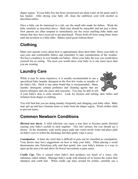diaper region. If your baby boy has been circumcised use plain water on his penis until it has healed. After drying your baby off, clean the umbilical cord with alcohol as described earlier.

Once a baby can be immersed in a tub, use the small tubs made for babies. Wash the baby similarly as described above. Bath time should be enjoyable and not just a chore. New parents are often tempted to immediately use the sweet smelling baby baths and lotions that they have received or pre-purchased. Please hold off from using those items until the newborn is a little older. Babies smell good without them!

# **Clothing**

Many new parents worry about how to appropriately dress their baby. Dress your baby in easy-care and comfortable fabrics and remember to take consideration of the weather. We have a tendency to over bundle our babies. Dress your baby the way you would dress yourself for an outing. The most you would dress your baby in is one more layer than you are wearing.

# **Laundry Care**

While it may be more expensive, it is usually recommended to use a specialized baby laundry detergent in the first few weeks or months of the baby's life. Dreft is one name brand that is recommended. Many laundry detergents contain perfumes and cleaning agents that are known allergens and can cause skin reactions. You may be able to tell



if your baby's skin is extra sensitive. Look for dryness and itching, skin rashes and irritation from diaper or clothing.

You will find that you are doing laundry frequently and changing your baby often. Baby may spit up and have formula stains or leaks from the diaper region. Wash clothes often to prevent stains.

## **Common Newborn Conditions**

*Blocked tear ducts:* A mild infection can cause a tear duct to become partly blocked causing your baby's eyelids to stick together. This isn't serious, but you should see a doctor. In the meantime, soak sterile gauze pads into warm sterile water and place pads on baby's eyes to soften the discharge and then gently wipe it away.

*Constipation:* A hard, dry stool that is difficult to pass can be classified as constipation. Your doctor may have suggestions on how to help your baby. Often placing a rectal thermometer into Petroleum jelly and then gently into your baby's bottom is a way to open up the area a bit and allow for bowel movements to pass easier.

*Cradle Cap:* This is caused when baby's skin produces too much of a waxy, oily substance called sebum. Massage baby's scalp with mineral oil to loosen the scales then shampoo and comb hair. When cradle cap stays around for awhile, carefully use a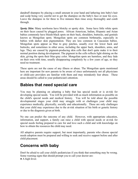dandruff shampoo by placing a small amount in your hand and lathering into baby's hair and scalp being very careful not to get the shampoo on the baby's face or near his eyes. Leave the shampoo in for three to five minutes then rinse away thoroughly and comb through.

*Spotty Skin:* Many newborns have blotchy or spotty skin. Some have little white spots on their faces caused by plugged pores. African American, Indian, Hispanic and Asian babies commonly have bluish-black spots on their back, shoulders, buttocks, and genitals known as Mongolian spots. Mongolian spots are common birthmarks, especially in babies with darker skin pigmentation. They are less common in Caucasian babies. Mongolian spots appear as blue to gray patches, usually over the lower back and buttocks, and sometimes in other areas, including the upper back, shoulders, arms, and legs. They are caused by pigment-producing skin cells that don't quite make it to their normal position during development. The pigment in the cells reflects light shining on the skin, giving the spots their blue-gray color. Mongolian spots are harmless, and they fade on their own with time, usually disappearing completely by a few years of age, so they need no treatment.

These spots are not the cause of any illness or abuse. The Mongolian spots mentioned here are important for new parents to be aware of since unfortunately not all physicians or child-care providers are familiar with them and may mistakenly fear abuse. These areas should be called to your pediatrician's attention.

## **Babies that need special care**

You may be planning on adopting a baby that has special needs or is at-risk for developing special needs. You will be provided with as much information as possible on the child's special needs and medical history. You will be told about the possible developmental stages your child may struggle with or challenges your child may experience medically, physically, socially and educationally. These are only challenges that your child may experience due to the at-risk situation of his birth or genetic history or due to the diagnosis given at birth.

No one can predict the outcome of any child. However, with appropriate education, information, and support, a family can raise a child with special needs or at-risk for special needs feeling prepared to care for and love such a child and with knowledge on how to obtain the resources the child may need.

All adoptive parents require support, but most importantly, parents who choose special needs adoption must be prepared and willing to seek and receive support before and after child placement.

## **Concerns with baby**

Don't be afraid to call your child's pediatrician if you think that something may be wrong. Some warning signs that should prompt you to call your doctor are:

• A high fever.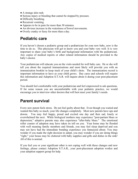- A strange skin rash.
- Serious injury or bleeding that cannot be stopped by pressure.
- Difficulty breathing.
- Recurrent vomiting.
- ! Appears to be in pain for more than 30 minutes.
- ! An obvious increase in the wateriness of bowel movements.
- Overly cranky or fussy for more than a day.

## **Pediatric care**

If you haven't chosen a pediatric group and a pediatrician for your new baby, now is the time to do so. This physician will get to know you and your baby very well. It is very important to share your baby's birth and background information with the pediatrician. Any copies of medical reports or other related information should be provided to the baby's doctor.

Your pediatrician will educate you on the visits needed for well baby care. He or she will tell you about the required immunizations and most likely will provide you with an immunization booklet to keep track of your child's shots. The immunization record is important information to have as your child grows. Day cares and schools will require this information and Adoption S.T.A.R. will inquire about it during your post-placement period.

You should feel comfortable with your pediatrician and feel empowered to ask questions. If for some reason you are uncomfortable with your pediatric practice, we would encourage you to interview other doctors that will best meet your family's needs.

## **Parent survival**

Every new parent feels stress. Do not feel guilty about that. Even though you waited and wanted this baby so much, your life changes completely. Most new parents have ups and downs. You may feel happy, proud and excited one day and then sad, lonely or overwhelmed the next. While biological mothers may experience "post-partum blues or depression," adoptive parents may also experience "after-baby blues." The emotional roller coaster of adoption may have taken its toll on you. Your home may be flooded with well meaning family members and friends, you may feel sleep deprived and you may not have had the immediate bonding experience you fantasized about. You may wonder if you made the right decision to adopt, you may wonder if you are doing things "right," your house may be cluttered with baby supplies and gifts and dishes in the sink! All of this is normal.

If you feel you or your significant other is not coping well with these changes and new feelings, please contact Adoption S.T.A.R., your post-placement adoption worker and your adoption support group for help.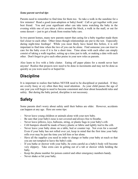#### *Some parent survival tips*

Parents need to remember to find time for them too. So take a walk in the sunshine for a few minutes! Read a good (non-adoption or baby) book! Call or get together with your best friend. You and your significant other can take turns watching the baby in the evening while one of you takes a drive around the block, a walk in the mall, or out for some dessert -- just to get a break from routine baby care.

In two parent homes, many new parents report that caring for a baby together made them feel closer to each other. Other times though relationships are put to the test. Especially during night-time feedings! While you most likely have heard this before, it is still important to find time when the two of you can be alone. Find someone you can trust to care for the baby even if it is for a short time. Time alone with each other can simply consist of taking a walk together, setting up a time just to talk, or making a date with each other. Don't forget to give each other praise in your new roles as parents.

Also learn to live with a little clutter. Eating off paper plates for a month never hurt anyone! Realize that projects now need to be done in increments and may not be done as quickly as you were used to or hoped for.

# **Discipline**

It is important to realize that babies NEVER need to be disciplined or punished. If they are overly fussy or cry often then they need attention. As your child passes the age of one year you will begin to need to become consistent and clear about household rules and safety. But during the baby period, discipline is not necessary.

# **Safety**

Some parents don't worry about safety until their babies are older. However, accidents can happen at any age. Here are some tips:

- Never leave young children or animals alone with your new baby.
- Be sure that your baby's nose is not covered and always free to breathe.
- Never leave pillows, toys, balloons, string, or plastic bags in your baby's crib.
- Crib bumpers should be made of heavy plastic or fabric and tightly tied to the crib.
- Never leave your baby alone on a table, bed or counter top. Not even for a second! Even if your baby has not rolled over yet, keep in mind that the first time your baby rolls over may be just the time you left him or her alone.
- Have all the supplies you need in order to change or bathe your baby at reach so that you are not tempted to leave the baby's side.
- If you bathe or shower with your baby, be extra careful as a baby's body will become very slippery. Take extra care in getting out of a tub or shower while holding the baby.
- Keep the phone number for poison control and other emergency numbers handy.
- Never shake or hit your baby.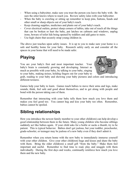- When using a babysitter, make sure you trust the person you leave the baby with. Be sure the sitter knows where to reach you. Review safety rules with your babysitter.
- When the baby is crawling or sitting up remember to keep pins, buttons, beads and other small or sharp objects out of your baby's reach.
- Keep cleaning supplies, medicines and plants out of your baby's reach.
- Cover electrical outlets, protect sharp corners of tables, take out of reach all the things that can be broken or hurt the baby, put latches on cabinets and windows, unplug irons, beware of toilet lids being opened by toddlers and add gates to stairs.
- Use high chairs that securely strap young children in.

The above just touches upon safety issues. It is up to you to make sure your home is a safe and healthy home for your baby. Research safety early on and consider all the spaces in your home that will need to be made safer.

# **Playing**

You are your baby's first and most important teacher. Your baby's brain is constantly growing and developing. Interact as much as possible with your baby, by talking to your baby, singing to your baby, making noises, holding fingers out for your baby to



grab, reading to your baby and showing your baby pictures and colors and introducing different textures.

Games help your baby to learn. Games teach babies to move their arms and legs, make sounds, think, feel safe and good about themselves, and to get along with people and bond with the person taking care of them.

Remember that interacting with your baby tells them how much you love them and makes you feel good too. You cannot hug and kiss your baby too often. Remember, babies cannot be spoiled.

# **Sibling relationships**

How you introduce the newest family member to your other child(ren) can help develop a good relationship between them in the future. Many young children who become siblings suddenly act like babies again. If your child asks for a bottle or sucks a thumb, try to be patient. This is typical behavior. Babies don't get jealous, but your toddler, preschooler, grade-schooler, or teenager may be jealous of a new baby even if they don't admit it.

Remember when you return home with the new baby to immediately immerse yourself with your other children. Give your other child(ren) hugs and kisses and share the baby with them. Bring the older child(ren) a small gift "from the baby." Make them feel important and useful. Remember to find time to read, play and snuggle with them individually. During the first days and weeks, continually reinforce how much you love them and the new baby.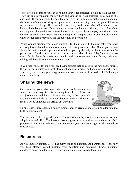There are lots of things you can do to help your older child(ren) get along with the baby. They can talk to you about the new baby and you can tell your child(ren) what babies like and need. If your older child is adopted also, re-telling him his special adoption story and the new baby's adoption story is a good way to share time together. Let your child(ren) see and touch the baby. They can help read a story to the new baby. Older children can help with the baby's care. Even toddlers can get you diapers or find toys. An older child can help you change diapers or feed the baby. Also, ask visitors to pay attention to older children as well as the baby. Having a supply of wrapped gifts to give the older child when friends bring baby gifts for the baby may be helpful too.

While you are praising your older child(ren) for their help with the new baby, you must not forget to set boundaries and rules about interacting with the baby. One important rule should be that no child is permitted to hold or pick up the baby without mom (or dad's) permission. Children need to understand that new babies do not "play" and are not so much fun in the early weeks and months and that sometime in the future, their new sibling will be able to interact more with them.

If you feel your older child(ren) are having trouble getting used to the new baby, discuss this with your pediatrician, post-placement adoption worker, and adoption support group. They may have some good suggestions on how to deal with an older child's feelings about a new baby.

# **Sharing the news**

Once you take your baby home, whether due to this match or a future one, you may feel like shouting from the rooftops that you just adopted and that you have a new baby in the house. Or you may wish to hide out with your baby for awhile. There are  $\mathbb{R}$ many ways to announce the arrival of your child.



Families have used adoption poetry, photos, etc. to create a one-of-a-kind adoption and birth announcement.

The Internet is often a good resource for adoption cards, adoption announcements, and adoption related gifts. The Internet also is a great way to send instant updates of baby's progress to family and friends. You may set up your own web page or utilize email to send photos.

## **Resources**

As you know, Adoption STAR has many books on adoption and parenthood. Hopefully you have already started building your adoption and parenting library, including children's books on adoption. Here are some online resources to look into: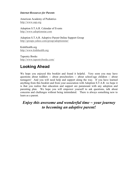#### *Internet Resources for Parents*

American Academy of Pediatrics http://www.aap.org

Adoption S.T.A.R. Calendar of Events http://www.adoptionstar.com

Adoption S.T.A.R. Adoptive Parent Online Support Group http://groups.yahoo.com/group/adoptionstar/

KidsHealth.org http://www.kidshealth.org

Tapestry Books http://www.tapestrybooks.com/

# **Looking Ahead**

We hope you enjoyed this booklet and found it helpful. Very soon you may have questions about toddlers -- about preschoolers -- about school-age children -- about teenagers! And you will need help and support along the way. If you have learned anything from this booklet and from your association with Adoption S.T.A.R. we hope it is that you realize that education and support are paramount with any adoption and parenting plan. We hope you will empower yourself to ask questions, talk about concerns and challenges without being intimidated. There is always something new to learn as a parent.

*Enjoy this awesome and wonderful time ~ your journey to becoming an adoptive parent!*